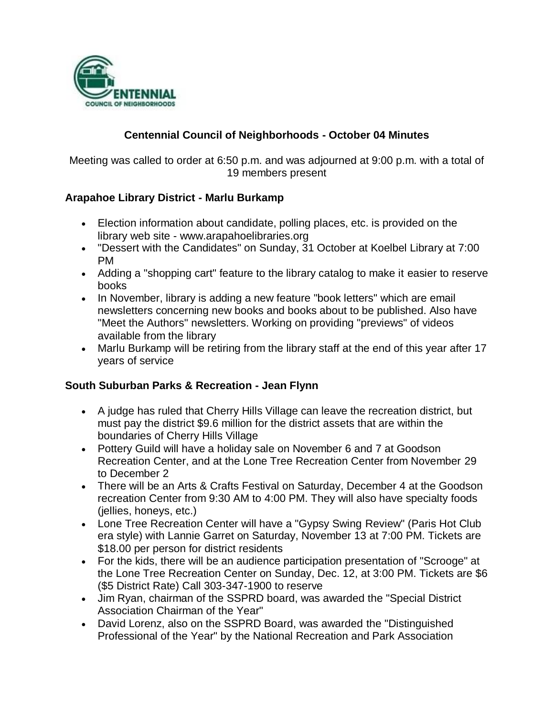

# **Centennial Council of Neighborhoods - October 04 Minutes**

Meeting was called to order at 6:50 p.m. and was adjourned at 9:00 p.m. with a total of 19 members present

### **Arapahoe Library District - Marlu Burkamp**

- Election information about candidate, polling places, etc. is provided on the library web site - www.arapahoelibraries.org
- "Dessert with the Candidates" on Sunday, 31 October at Koelbel Library at 7:00 PM
- Adding a "shopping cart" feature to the library catalog to make it easier to reserve books
- In November, library is adding a new feature "book letters" which are email newsletters concerning new books and books about to be published. Also have "Meet the Authors" newsletters. Working on providing "previews" of videos available from the library
- Marlu Burkamp will be retiring from the library staff at the end of this year after 17 years of service

#### **South Suburban Parks & Recreation - Jean Flynn**

- A judge has ruled that Cherry Hills Village can leave the recreation district, but must pay the district \$9.6 million for the district assets that are within the boundaries of Cherry Hills Village
- Pottery Guild will have a holiday sale on November 6 and 7 at Goodson Recreation Center, and at the Lone Tree Recreation Center from November 29 to December 2
- There will be an Arts & Crafts Festival on Saturday, December 4 at the Goodson recreation Center from 9:30 AM to 4:00 PM. They will also have specialty foods (jellies, honeys, etc.)
- Lone Tree Recreation Center will have a "Gypsy Swing Review" (Paris Hot Club era style) with Lannie Garret on Saturday, November 13 at 7:00 PM. Tickets are \$18.00 per person for district residents
- For the kids, there will be an audience participation presentation of "Scrooge" at the Lone Tree Recreation Center on Sunday, Dec. 12, at 3:00 PM. Tickets are \$6 (\$5 District Rate) Call 303-347-1900 to reserve
- Jim Ryan, chairman of the SSPRD board, was awarded the "Special District Association Chairman of the Year"
- David Lorenz, also on the SSPRD Board, was awarded the "Distinguished Professional of the Year" by the National Recreation and Park Association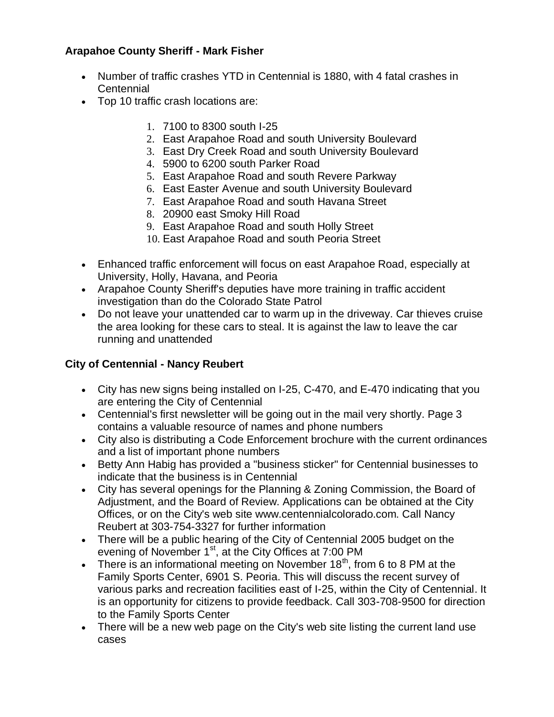# **Arapahoe County Sheriff - Mark Fisher**

- Number of traffic crashes YTD in Centennial is 1880, with 4 fatal crashes in **Centennial**
- Top 10 traffic crash locations are:
	- 1. 7100 to 8300 south I-25
	- 2. East Arapahoe Road and south University Boulevard
	- 3. East Dry Creek Road and south University Boulevard
	- 4. 5900 to 6200 south Parker Road
	- 5. East Arapahoe Road and south Revere Parkway
	- 6. East Easter Avenue and south University Boulevard
	- 7. East Arapahoe Road and south Havana Street
	- 8. 20900 east Smoky Hill Road
	- 9. East Arapahoe Road and south Holly Street
	- 10. East Arapahoe Road and south Peoria Street
- Enhanced traffic enforcement will focus on east Arapahoe Road, especially at University, Holly, Havana, and Peoria
- Arapahoe County Sheriff's deputies have more training in traffic accident investigation than do the Colorado State Patrol
- Do not leave your unattended car to warm up in the driveway. Car thieves cruise the area looking for these cars to steal. It is against the law to leave the car running and unattended

### **City of Centennial - Nancy Reubert**

- City has new signs being installed on I-25, C-470, and E-470 indicating that you are entering the City of Centennial
- Centennial's first newsletter will be going out in the mail very shortly. Page 3 contains a valuable resource of names and phone numbers
- City also is distributing a Code Enforcement brochure with the current ordinances and a list of important phone numbers
- Betty Ann Habig has provided a "business sticker" for Centennial businesses to indicate that the business is in Centennial
- City has several openings for the Planning & Zoning Commission, the Board of Adjustment, and the Board of Review. Applications can be obtained at the City Offices, or on the City's web site www.centennialcolorado.com. Call Nancy Reubert at 303-754-3327 for further information
- There will be a public hearing of the City of Centennial 2005 budget on the evening of November 1<sup>st</sup>, at the City Offices at 7:00 PM
- There is an informational meeting on November  $18<sup>th</sup>$ , from 6 to 8 PM at the Family Sports Center, 6901 S. Peoria. This will discuss the recent survey of various parks and recreation facilities east of I-25, within the City of Centennial. It is an opportunity for citizens to provide feedback. Call 303-708-9500 for direction to the Family Sports Center
- There will be a new web page on the City's web site listing the current land use cases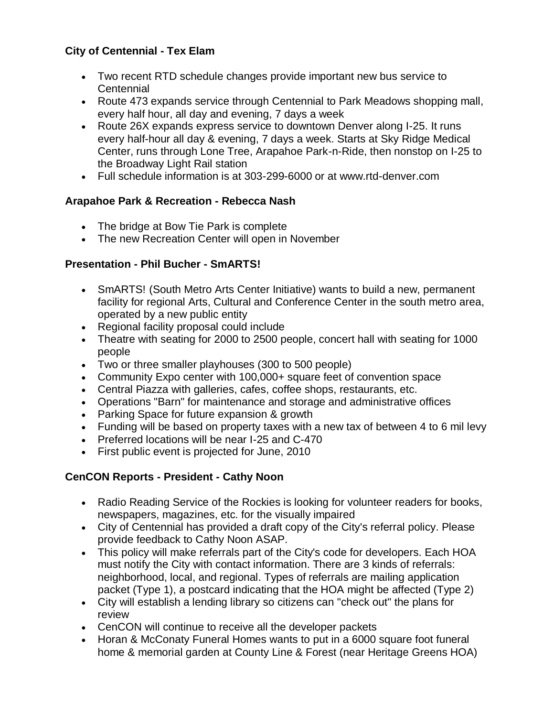# **City of Centennial - Tex Elam**

- Two recent RTD schedule changes provide important new bus service to **Centennial**
- Route 473 expands service through Centennial to Park Meadows shopping mall, every half hour, all day and evening, 7 days a week
- Route 26X expands express service to downtown Denver along I-25. It runs every half-hour all day & evening, 7 days a week. Starts at Sky Ridge Medical Center, runs through Lone Tree, Arapahoe Park-n-Ride, then nonstop on I-25 to the Broadway Light Rail station
- Full schedule information is at 303-299-6000 or at www.rtd-denver.com

### **Arapahoe Park & Recreation - Rebecca Nash**

- The bridge at Bow Tie Park is complete
- The new Recreation Center will open in November

# **Presentation - Phil Bucher - SmARTS!**

- SmARTS! (South Metro Arts Center Initiative) wants to build a new, permanent facility for regional Arts, Cultural and Conference Center in the south metro area, operated by a new public entity
- Regional facility proposal could include
- Theatre with seating for 2000 to 2500 people, concert hall with seating for 1000 people
- Two or three smaller playhouses (300 to 500 people)
- Community Expo center with 100,000+ square feet of convention space
- Central Piazza with galleries, cafes, coffee shops, restaurants, etc.
- Operations "Barn" for maintenance and storage and administrative offices
- Parking Space for future expansion & growth
- Funding will be based on property taxes with a new tax of between 4 to 6 mil levy
- Preferred locations will be near I-25 and C-470
- First public event is projected for June, 2010

# **CenCON Reports - President - Cathy Noon**

- Radio Reading Service of the Rockies is looking for volunteer readers for books, newspapers, magazines, etc. for the visually impaired
- City of Centennial has provided a draft copy of the City's referral policy. Please provide feedback to Cathy Noon ASAP.
- This policy will make referrals part of the City's code for developers. Each HOA must notify the City with contact information. There are 3 kinds of referrals: neighborhood, local, and regional. Types of referrals are mailing application packet (Type 1), a postcard indicating that the HOA might be affected (Type 2)
- City will establish a lending library so citizens can "check out" the plans for review
- CenCON will continue to receive all the developer packets
- Horan & McConaty Funeral Homes wants to put in a 6000 square foot funeral home & memorial garden at County Line & Forest (near Heritage Greens HOA)